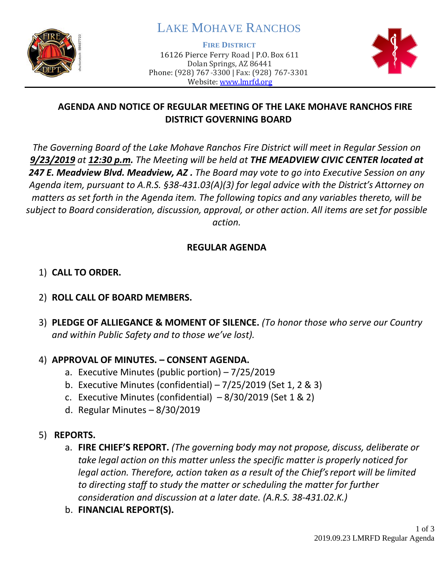

# LAKE MOHAVE RANCHOS

**FIRE DISTRICT**

16126 Pierce Ferry Road | P.O. Box 611 Dolan Springs, AZ 86441 Phone: (928) 767-3300 | Fax: (928) 767-3301 Website: [www.lmrfd.org](http://www.lmrfd.org/)



### **AGENDA AND NOTICE OF REGULAR MEETING OF THE LAKE MOHAVE RANCHOS FIRE DISTRICT GOVERNING BOARD**

*The Governing Board of the Lake Mohave Ranchos Fire District will meet in Regular Session on 9/23/2019 at 12:30 p.m. The Meeting will be held at THE MEADVIEW CIVIC CENTER located at 247 E. Meadview Blvd. Meadview, AZ . The Board may vote to go into Executive Session on any Agenda item, pursuant to A.R.S. §38-431.03(A)(3) for legal advice with the District's Attorney on matters as set forth in the Agenda item. The following topics and any variables thereto, will be subject to Board consideration, discussion, approval, or other action. All items are set for possible action.*

#### **REGULAR AGENDA**

- 1) **CALL TO ORDER.**
- 2) **ROLL CALL OF BOARD MEMBERS.**
- 3) **PLEDGE OF ALLIEGANCE & MOMENT OF SILENCE.** *(To honor those who serve our Country and within Public Safety and to those we've lost).*

#### 4) **APPROVAL OF MINUTES. – CONSENT AGENDA.**

- a. Executive Minutes (public portion) 7/25/2019
- b. Executive Minutes (confidential) 7/25/2019 (Set 1, 2 & 3)
- c. Executive Minutes (confidential)  $-8/30/2019$  (Set 1 & 2)
- d. Regular Minutes 8/30/2019

#### 5) **REPORTS.**

- a. **FIRE CHIEF'S REPORT.** *(The governing body may not propose, discuss, deliberate or take legal action on this matter unless the specific matter is properly noticed for legal action. Therefore, action taken as a result of the Chief's report will be limited to directing staff to study the matter or scheduling the matter for further consideration and discussion at a later date. (A.R.S. 38-431.02.K.)*
- b. **FINANCIAL REPORT(S).**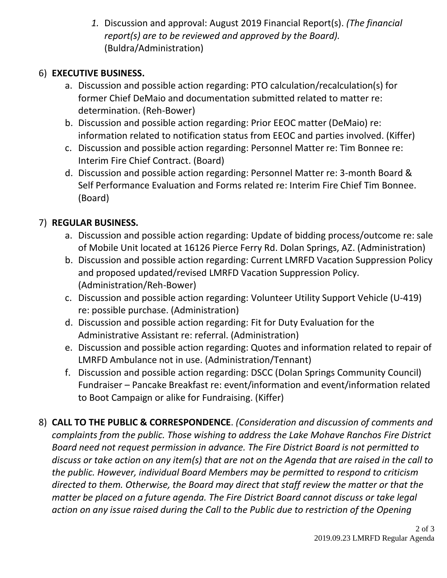*1.* Discussion and approval: August 2019 Financial Report(s). *(The financial report(s) are to be reviewed and approved by the Board).* (Buldra/Administration)

### 6) **EXECUTIVE BUSINESS.**

- a. Discussion and possible action regarding: PTO calculation/recalculation(s) for former Chief DeMaio and documentation submitted related to matter re: determination. (Reh-Bower)
- b. Discussion and possible action regarding: Prior EEOC matter (DeMaio) re: information related to notification status from EEOC and parties involved. (Kiffer)
- c. Discussion and possible action regarding: Personnel Matter re: Tim Bonnee re: Interim Fire Chief Contract. (Board)
- d. Discussion and possible action regarding: Personnel Matter re: 3-month Board & Self Performance Evaluation and Forms related re: Interim Fire Chief Tim Bonnee. (Board)

### 7) **REGULAR BUSINESS.**

- a. Discussion and possible action regarding: Update of bidding process/outcome re: sale of Mobile Unit located at 16126 Pierce Ferry Rd. Dolan Springs, AZ. (Administration)
- b. Discussion and possible action regarding: Current LMRFD Vacation Suppression Policy and proposed updated/revised LMRFD Vacation Suppression Policy. (Administration/Reh-Bower)
- c. Discussion and possible action regarding: Volunteer Utility Support Vehicle (U-419) re: possible purchase. (Administration)
- d. Discussion and possible action regarding: Fit for Duty Evaluation for the Administrative Assistant re: referral. (Administration)
- e. Discussion and possible action regarding: Quotes and information related to repair of LMRFD Ambulance not in use. (Administration/Tennant)
- f. Discussion and possible action regarding: DSCC (Dolan Springs Community Council) Fundraiser – Pancake Breakfast re: event/information and event/information related to Boot Campaign or alike for Fundraising. (Kiffer)
- 8) **CALL TO THE PUBLIC & CORRESPONDENCE**. *(Consideration and discussion of comments and complaints from the public. Those wishing to address the Lake Mohave Ranchos Fire District Board need not request permission in advance. The Fire District Board is not permitted to discuss or take action on any item(s) that are not on the Agenda that are raised in the call to the public. However, individual Board Members may be permitted to respond to criticism directed to them. Otherwise, the Board may direct that staff review the matter or that the matter be placed on a future agenda. The Fire District Board cannot discuss or take legal action on any issue raised during the Call to the Public due to restriction of the Opening*